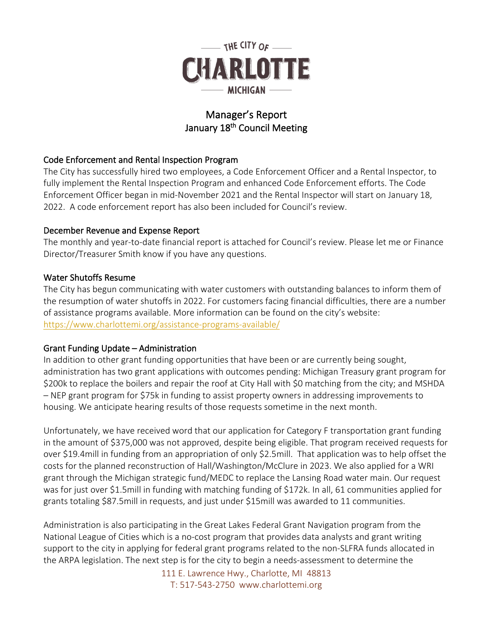

# Manager's Report January 18<sup>th</sup> Council Meeting

## Code Enforcement and Rental Inspection Program

The City has successfully hired two employees, a Code Enforcement Officer and a Rental Inspector, to fully implement the Rental Inspection Program and enhanced Code Enforcement efforts. The Code Enforcement Officer began in mid-November 2021 and the Rental Inspector will start on January 18, 2022. A code enforcement report has also been included for Council's review.

## December Revenue and Expense Report

The monthly and year-to-date financial report is attached for Council's review. Please let me or Finance Director/Treasurer Smith know if you have any questions.

## Water Shutoffs Resume

The City has begun communicating with water customers with outstanding balances to inform them of the resumption of water shutoffs in 2022. For customers facing financial difficulties, there are a number of assistance programs available. More information can be found on the city's website: <https://www.charlottemi.org/assistance-programs-available/>

## Grant Funding Update – Administration

In addition to other grant funding opportunities that have been or are currently being sought, administration has two grant applications with outcomes pending: Michigan Treasury grant program for \$200k to replace the boilers and repair the roof at City Hall with \$0 matching from the city; and MSHDA – NEP grant program for \$75k in funding to assist property owners in addressing improvements to housing. We anticipate hearing results of those requests sometime in the next month.

Unfortunately, we have received word that our application for Category F transportation grant funding in the amount of \$375,000 was not approved, despite being eligible. That program received requests for over \$19.4mill in funding from an appropriation of only \$2.5mill. That application was to help offset the costs for the planned reconstruction of Hall/Washington/McClure in 2023. We also applied for a WRI grant through the Michigan strategic fund/MEDC to replace the Lansing Road water main. Our request was for just over \$1.5mill in funding with matching funding of \$172k. In all, 61 communities applied for grants totaling \$87.5mill in requests, and just under \$15mill was awarded to 11 communities.

Administration is also participating in the Great Lakes Federal Grant Navigation program from the National League of Cities which is a no-cost program that provides data analysts and grant writing support to the city in applying for federal grant programs related to the non-SLFRA funds allocated in the ARPA legislation. The next step is for the city to begin a needs-assessment to determine the

> 111 E. Lawrence Hwy., Charlotte, MI 48813 T: 517-543-2750 www.charlottemi.org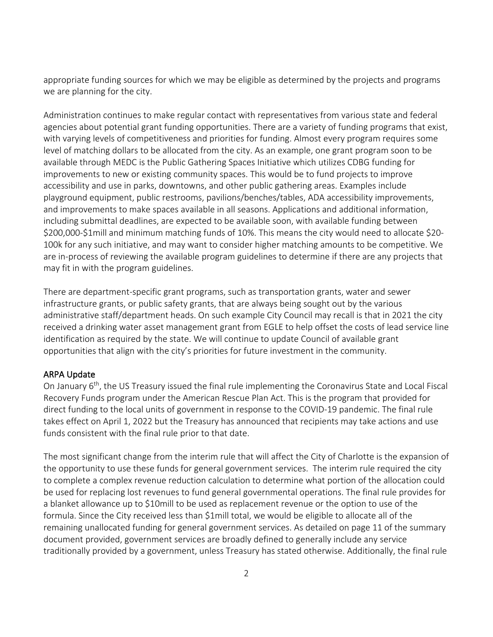appropriate funding sources for which we may be eligible as determined by the projects and programs we are planning for the city.

Administration continues to make regular contact with representatives from various state and federal agencies about potential grant funding opportunities. There are a variety of funding programs that exist, with varying levels of competitiveness and priorities for funding. Almost every program requires some level of matching dollars to be allocated from the city. As an example, one grant program soon to be available through MEDC is the Public Gathering Spaces Initiative which utilizes CDBG funding for improvements to new or existing community spaces. This would be to fund projects to improve accessibility and use in parks, downtowns, and other public gathering areas. Examples include playground equipment, public restrooms, pavilions/benches/tables, ADA accessibility improvements, and improvements to make spaces available in all seasons. Applications and additional information, including submittal deadlines, are expected to be available soon, with available funding between \$200,000-\$1mill and minimum matching funds of 10%. This means the city would need to allocate \$20- 100k for any such initiative, and may want to consider higher matching amounts to be competitive. We are in-process of reviewing the available program guidelines to determine if there are any projects that may fit in with the program guidelines.

There are department-specific grant programs, such as transportation grants, water and sewer infrastructure grants, or public safety grants, that are always being sought out by the various administrative staff/department heads. On such example City Council may recall is that in 2021 the city received a drinking water asset management grant from EGLE to help offset the costs of lead service line identification as required by the state. We will continue to update Council of available grant opportunities that align with the city's priorities for future investment in the community.

#### ARPA Update

On January 6th, the US Treasury issued the final rule implementing the Coronavirus State and Local Fiscal Recovery Funds program under the American Rescue Plan Act. This is the program that provided for direct funding to the local units of government in response to the COVID-19 pandemic. The final rule takes effect on April 1, 2022 but the Treasury has announced that recipients may take actions and use funds consistent with the final rule prior to that date.

The most significant change from the interim rule that will affect the City of Charlotte is the expansion of the opportunity to use these funds for general government services. The interim rule required the city to complete a complex revenue reduction calculation to determine what portion of the allocation could be used for replacing lost revenues to fund general governmental operations. The final rule provides for a blanket allowance up to \$10mill to be used as replacement revenue or the option to use of the formula. Since the City received less than \$1mill total, we would be eligible to allocate all of the remaining unallocated funding for general government services. As detailed on page 11 of the summary document provided, government services are broadly defined to generally include any service traditionally provided by a government, unless Treasury has stated otherwise. Additionally, the final rule